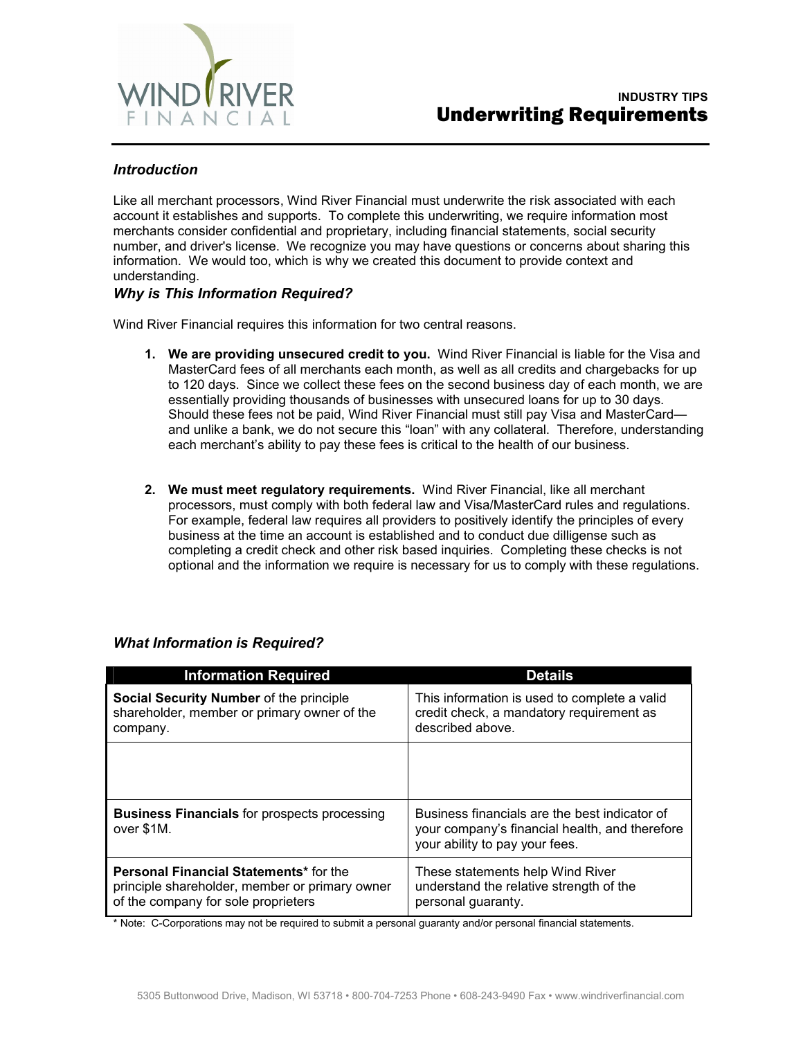

### *Introduction*

Like all merchant processors, Wind River Financial must underwrite the risk associated with each account it establishes and supports. To complete this underwriting, we require information most merchants consider confidential and proprietary, including financial statements, social security number, and driver's license. We recognize you may have questions or concerns about sharing this information. We would too, which is why we created this document to provide context and understanding.

#### *Why is This Information Required?*

Wind River Financial requires this information for two central reasons.

- **1. We are providing unsecured credit to you.** Wind River Financial is liable for the Visa and MasterCard fees of all merchants each month, as well as all credits and chargebacks for up to 120 days. Since we collect these fees on the second business day of each month, we are essentially providing thousands of businesses with unsecured loans for up to 30 days. Should these fees not be paid, Wind River Financial must still pay Visa and MasterCard and unlike a bank, we do not secure this "loan" with any collateral. Therefore, understanding each merchant's ability to pay these fees is critical to the health of our business.
- **2. We must meet regulatory requirements.** Wind River Financial, like all merchant processors, must comply with both federal law and Visa/MasterCard rules and regulations. For example, federal law requires all providers to positively identify the principles of every business at the time an account is established and to conduct due dilligense such as completing a credit check and other risk based inquiries. Completing these checks is not optional and the information we require is necessary for us to comply with these regulations.

| <b>Information Required</b>                                                                                                            | <b>Details</b>                                                                                                                    |
|----------------------------------------------------------------------------------------------------------------------------------------|-----------------------------------------------------------------------------------------------------------------------------------|
| Social Security Number of the principle<br>shareholder, member or primary owner of the<br>company.                                     | This information is used to complete a valid<br>credit check, a mandatory requirement as<br>described above.                      |
|                                                                                                                                        |                                                                                                                                   |
| <b>Business Financials for prospects processing</b><br>over \$1M.                                                                      | Business financials are the best indicator of<br>your company's financial health, and therefore<br>your ability to pay your fees. |
| <b>Personal Financial Statements*</b> for the<br>principle shareholder, member or primary owner<br>of the company for sole proprieters | These statements help Wind River<br>understand the relative strength of the<br>personal guaranty.                                 |

#### *What Information is Required?*

\* Note: C-Corporations may not be required to submit a personal guaranty and/or personal financial statements.